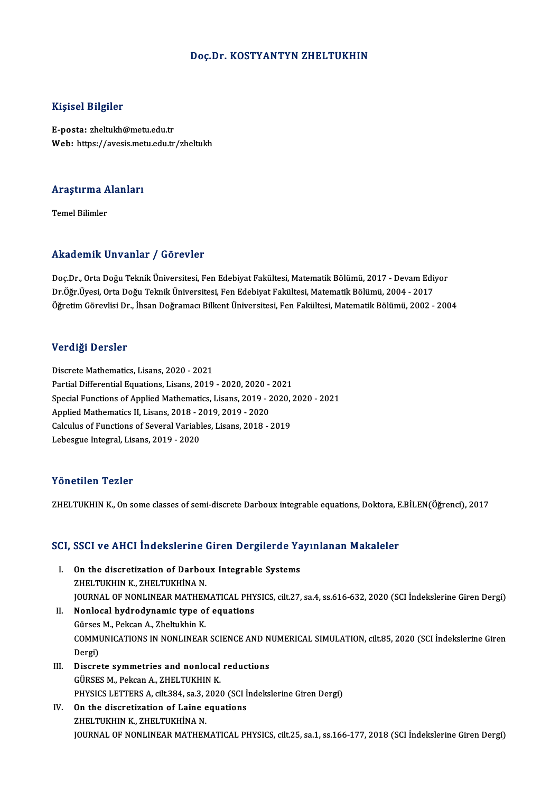### Doç.Dr. KOSTYANTYN ZHELTUKHIN

### Kişisel Bilgiler

E-posta: zheltukh@metu.edu.tr Web: https://avesis.metu.edu.tr/zheltukh

## .<br>Araştırma Alanları<br>. <mark>Araştırma A</mark><br>Temel Bilimler

# Akademik Unvanlar / Görevler

Akademik Unvanlar / Görevler<br>Doç.Dr., Orta Doğu Teknik Üniversitesi, Fen Edebiyat Fakültesi, Matematik Bölümü, 2017 - Devam Ediyor<br>Dr.Öğr Üvesi, Orta Doğu Telmik Üniversitesi, Fen Edebiyat Fakültesi, Matematik Bölümü, 2004 rındu olirin "Olivulmar" / "dör ovror"<br>Doç.Dr., Orta Doğu Teknik Üniversitesi, Fen Edebiyat Fakültesi, Matematik Bölümü, 2017 - Devam Ediy<br>Öğretim Cönevlisi Dr., İbsan Doğraması Billsot Üniversitesi, Ean Fakültesi, Matemat Doç.Dr., Orta Doğu Teknik Üniversitesi, Fen Edebiyat Fakültesi, Matematik Bölümü, 2017 - Devam Ediyor<br>Dr.Öğr.Üyesi, Orta Doğu Teknik Üniversitesi, Fen Edebiyat Fakültesi, Matematik Bölümü, 2004 - 2017<br>Öğretim Görevlisi Dr. Öğretim Görevlisi Dr., İhsan Doğramacı Bilkent Üniversitesi, Fen Fakültesi, Matematik Bölümü, 2002 - 2004<br>Verdiği Dersler

Discrete Mathematics, Lisans, 2020 - 2021 Partial Differential Equations, 2020 - 2021<br>Partial Differential Equations, Lisans, 2019 - 2020, 2020 - 2021<br>Special Eunctions of Applied Mathematics, Lisans, 2019 - 2020, 2 Special Functions of Applied Mathematics, Lisans, 2019 - 2020, 2020 - 2021<br>Applied Mathematics II, Lisans, 2018 - 2019, 2019 - 2020 Partial Differential Equations, Lisans, 2019 - 2020, 2020 -<br>Special Functions of Applied Mathematics, Lisans, 2019 - 2<br>Applied Mathematics II, Lisans, 2018 - 2019, 2019 - 2020<br>Calculus of Eunctions of Saveral Variables, Li Special Functions of Applied Mathematics, Lisans, 2019 - 2020, Applied Mathematics II, Lisans, 2018 - 2019, 2019 - 2020<br>Calculus of Functions of Several Variables, Lisans, 2018 - 2019<br>Labasgue Integral Lisans, 2019, 2020 Applied Mathematics II, Lisans, 2018 - 2<br>Calculus of Functions of Several Variabl<br>Lebesgue Integral, Lisans, 2019 - 2020 Lebesgue Integral, Lisans, 2019 - 2020<br>Yönetilen Tezler

ZHELTUKHIN K., On some classes of semi-discrete Darboux integrable equations, Doktora, E.BİLEN(Öğrenci), 2017

# 2HELTOKHIN K., ON SOME Classes of semi-discrete Darboux Integrable equations, Doktora, E<br>SCI, SSCI ve AHCI İndekslerine Giren Dergilerde Yayınlanan Makaleler

- CI, SSCI ve AHCI Indekslerine Giren Dergilerde Ya<br>I. On the discretization of Darboux Integrable Systems<br>ZHEI TUKHIN K ZHEI TUKHINA N I. On the discretization of Darboux Integrable Systems<br>ZHELTUKHIN K., ZHELTUKHİNA N. JOURNAL OF NONLINEAR MATHEMATICAL PHYSICS, cilt.27, sa.4, ss.616-632, 2020 (SCI İndekslerine Giren Dergi) ZHELTUKHIN K., ZHELTUKHINA N.<br>JOURNAL OF NONLINEAR MATHEMATICAL PHY<br>II. Nonlocal hydrodynamic type of equations<br>Cürses M. Beksan A. Zheltukhin K.
- JOURNAL OF NONLINEAR MATHEM<br>Nonlocal hydrodynamic type of<br>Gürses M., Pekcan A., Zheltukhin K.<br>COMMUNICATIONS IN NONLINEAR Nonlocal hydrodynamic type of equations<br>Gürses M., Pekcan A., Zheltukhin K.<br>COMMUNICATIONS IN NONLINEAR SCIENCE AND NUMERICAL SIMULATION, cilt.85, 2020 (SCI İndekslerine Giren<br>Persi) Gürses<br>COMMI<br>Dergi)<br>Disere COMMUNICATIONS IN NONLINEAR SCIENCE AND N<br>Dergi)<br>III. Discrete symmetries and nonlocal reductions<br>CUBSES M. Bolson A. ZUELTIVUIN V.
- Dergi)<br>Discrete symmetries and nonlocal<br>GÜRSES M., Pekcan A., ZHELTUKHIN K.<br>PHYSICS LETTEDS A. alt 294, sp.2, 2020 Discrete symmetries and nonlocal reductions<br>GÜRSES M., Pekcan A., ZHELTUKHIN K.<br>PHYSICS LETTERS A, cilt.384, sa.3, 2020 (SCI İndekslerine Giren Dergi)<br>On the discretivation of Laine equations GÜRSES M., Pekcan A., ZHELTUKHIN K.<br>PHYSICS LETTERS A, cilt.384, sa.3, 2020 (SCI I<br>IV. On the discretization of Laine equations<br>74EI TUVUN V. 74EI TUVUNA N.
- PHYSICS LETTERS A, cilt.384, sa.3, 2<br>On the discretization of Laine e<br>ZHELTUKHIN K., ZHELTUKHİNA N.<br>JOUPNAL OF NONI INFAR MATUEN IV. On the discretization of Laine equations<br>ZHELTUKHIN K., ZHELTUKHINA N.<br>JOURNAL OF NONLINEAR MATHEMATICAL PHYSICS, cilt.25, sa.1, ss.166-177, 2018 (SCI İndekslerine Giren Dergi)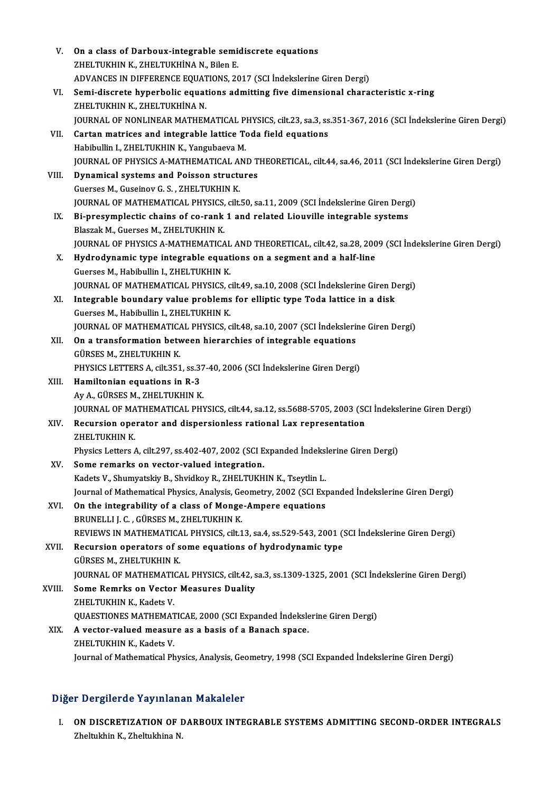| V.     | On a class of Darboux-integrable semidiscrete equations                                                                 |
|--------|-------------------------------------------------------------------------------------------------------------------------|
|        | ZHELTUKHIN K., ZHELTUKHINA N., Bilen E.                                                                                 |
|        | ADVANCES IN DIFFERENCE EQUATIONS, 2017 (SCI Indekslerine Giren Dergi)                                                   |
| VI.    | Semi-discrete hyperbolic equations admitting five dimensional characteristic x-ring                                     |
|        | ZHELTUKHIN K., ZHELTUKHINA N.                                                                                           |
|        | JOURNAL OF NONLINEAR MATHEMATICAL PHYSICS, cilt.23, sa.3, ss.351-367, 2016 (SCI İndekslerine Giren Dergi)               |
| VII.   | Cartan matrices and integrable lattice Toda field equations                                                             |
|        | Habibullin I., ZHELTUKHIN K., Yangubaeva M.                                                                             |
|        | JOURNAL OF PHYSICS A-MATHEMATICAL AND THEORETICAL, cilt.44, sa.46, 2011 (SCI İndekslerine Giren Dergi)                  |
| VIII.  | Dynamical systems and Poisson structures                                                                                |
|        | Guerses M., Guseinov G. S., ZHELTUKHIN K.                                                                               |
|        | JOURNAL OF MATHEMATICAL PHYSICS, cilt.50, sa.11, 2009 (SCI Indekslerine Giren Dergi)                                    |
| IX.    | Bi-presymplectic chains of co-rank 1 and related Liouville integrable systems                                           |
|        | Blaszak M., Guerses M., ZHELTUKHIN K.                                                                                   |
|        | JOURNAL OF PHYSICS A-MATHEMATICAL AND THEORETICAL, cilt.42, sa.28, 2009 (SCI Indekslerine Giren Dergi)                  |
| X.     | Hydrodynamic type integrable equations on a segment and a half-line                                                     |
|        | Guerses M., Habibullin I., ZHELTUKHIN K.                                                                                |
|        | JOURNAL OF MATHEMATICAL PHYSICS, cilt.49, sa.10, 2008 (SCI Indekslerine Giren Dergi)                                    |
| XI.    | Integrable boundary value problems for elliptic type Toda lattice in a disk<br>Guerses M., Habibullin I., ZHELTUKHIN K. |
|        | JOURNAL OF MATHEMATICAL PHYSICS, cilt.48, sa.10, 2007 (SCI İndekslerine Giren Dergi)                                    |
| XII.   | On a transformation between hierarchies of integrable equations                                                         |
|        | GÜRSES M., ZHELTUKHIN K.                                                                                                |
|        | PHYSICS LETTERS A, cilt 351, ss 37-40, 2006 (SCI Indekslerine Giren Dergi)                                              |
| XIII.  | Hamiltonian equations in R-3                                                                                            |
|        | Ay A, GÜRSES M, ZHELTUKHIN K.                                                                                           |
|        | JOURNAL OF MATHEMATICAL PHYSICS, cilt.44, sa.12, ss.5688-5705, 2003 (SCI İndekslerine Giren Dergi)                      |
| XIV.   | Recursion operator and dispersionless rational Lax representation                                                       |
|        | ZHELTUKHIN K.                                                                                                           |
|        | Physics Letters A, cilt.297, ss.402-407, 2002 (SCI Expanded Indekslerine Giren Dergi)                                   |
| XV.    | Some remarks on vector-valued integration.                                                                              |
|        | Kadets V., Shumyatskiy B., Shvidkoy R., ZHELTUKHIN K., Tseytlin L.                                                      |
|        | Journal of Mathematical Physics, Analysis, Geometry, 2002 (SCI Expanded İndekslerine Giren Dergi)                       |
| XVI.   | On the integrability of a class of Monge-Ampere equations                                                               |
|        | BRUNELLI J. C., GÜRSES M., ZHELTUKHIN K.                                                                                |
|        | REVIEWS IN MATHEMATICAL PHYSICS, cilt.13, sa.4, ss.529-543, 2001 (SCI Indekslerine Giren Dergi)                         |
| XVII.  | Recursion operators of some equations of hydrodynamic type                                                              |
|        | GÜRSES M., ZHELTUKHIN K.                                                                                                |
|        | JOURNAL OF MATHEMATICAL PHYSICS, cilt.42, sa.3, ss.1309-1325, 2001 (SCI İndekslerine Giren Dergi)                       |
| XVIII. | <b>Some Remrks on Vector Measures Duality</b>                                                                           |
|        | ZHELTUKHIN K., Kadets V.<br>QUAESTIONES MATHEMATICAE, 2000 (SCI Expanded Indekslerine Giren Dergi)                      |
| XIX.   | A vector-valued measure as a basis of a Banach space.                                                                   |
|        | ZHELTUKHIN K., Kadets V.                                                                                                |
|        | Journal of Mathematical Physics, Analysis, Geometry, 1998 (SCI Expanded İndekslerine Giren Dergi)                       |
|        |                                                                                                                         |

### Diğer Dergilerde Yayınlanan Makaleler

Iğer Dergilerde Yayınlanan Makaleler<br>I. ON DISCRETIZATION OF DARBOUX INTEGRABLE SYSTEMS ADMITTING SECOND-ORDER INTEGRALS<br>Zhelpikin K. Zhelpikine N 2 Der grief up 3 mark<br>2008 DISCRETIZATION OF I<br>2heltukhin K., Zheltukhina N.